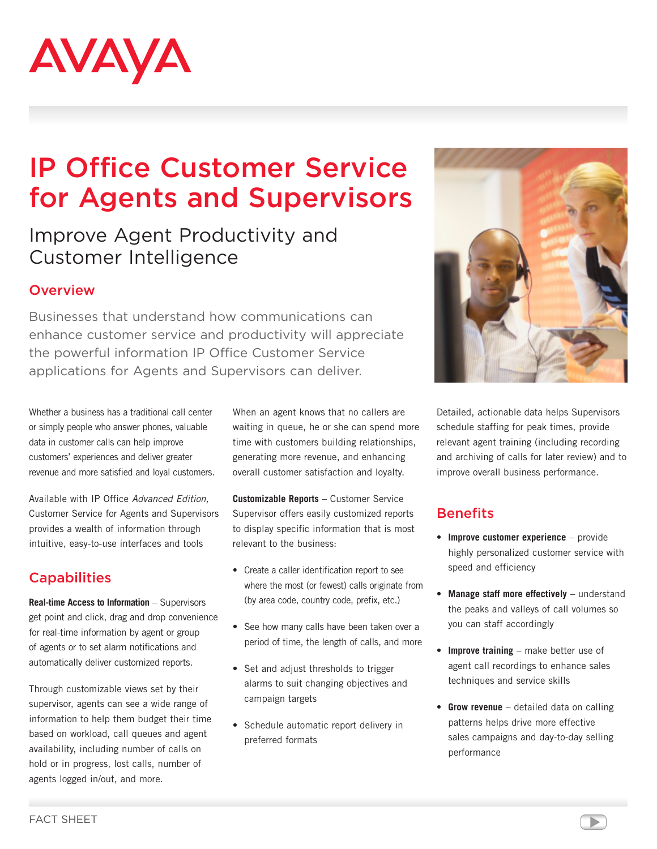# AVAYA

## IP Office Customer Service for Agents and Supervisors

### Improve Agent Productivity and Customer Intelligence

#### **Overview**

Businesses that understand how communications can enhance customer service and productivity will appreciate the powerful information IP Office Customer Service applications for Agents and Supervisors can deliver.

Whether a business has a traditional call center or simply people who answer phones, valuable data in customer calls can help improve customers' experiences and deliver greater revenue and more satisfied and loyal customers.

Available with IP Office Advanced Edition, Customer Service for Agents and Supervisors provides a wealth of information through intuitive, easy-to-use interfaces and tools

#### **Capabilities**

**Real-time Access to Information** – Supervisors get point and click, drag and drop convenience for real-time information by agent or group of agents or to set alarm notifications and automatically deliver customized reports.

Through customizable views set by their supervisor, agents can see a wide range of information to help them budget their time based on workload, call queues and agent availability, including number of calls on hold or in progress, lost calls, number of agents logged in/out, and more.

When an agent knows that no callers are waiting in queue, he or she can spend more time with customers building relationships, generating more revenue, and enhancing overall customer satisfaction and loyalty.

**Customizable Reports** – Customer Service Supervisor offers easily customized reports to display specific information that is most relevant to the business:

- Create a caller identification report to see where the most (or fewest) calls originate from (by area code, country code, prefix, etc.)
- See how many calls have been taken over a period of time, the length of calls, and more
- Set and adjust thresholds to trigger alarms to suit changing objectives and campaign targets
- • Schedule automatic report delivery in preferred formats



Detailed, actionable data helps Supervisors schedule staffing for peak times, provide relevant agent training (including recording and archiving of calls for later review) and to improve overall business performance.

#### **Benefits**

- • **Improve customer experience** provide highly personalized customer service with speed and efficiency
- • **Manage staff more effectively** understand the peaks and valleys of call volumes so you can staff accordingly
- • **Improve training** make better use of agent call recordings to enhance sales techniques and service skills
- **Grow revenue** detailed data on calling patterns helps drive more effective sales campaigns and day-to-day selling performance